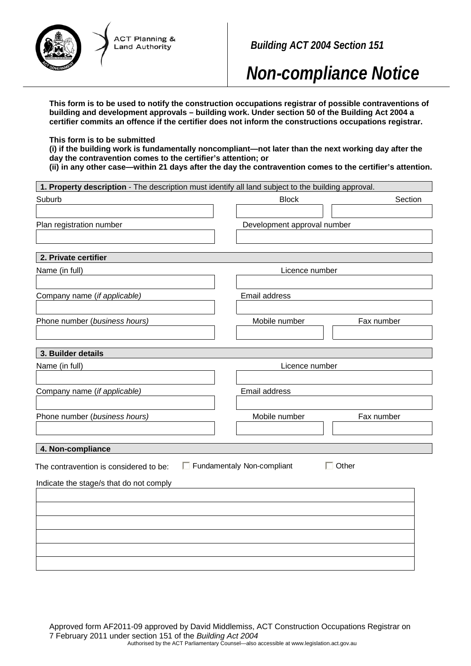

*Building ACT 2004 Section 151* 

*Non-compliance Notice*

**This form is to be used to notify the construction occupations registrar of possible contraventions of building and development approvals – building work. Under section 50 of the Building Act 2004 a certifier commits an offence if the certifier does not inform the constructions occupations registrar.** 

### **This form is to be submitted**

**(i) if the building work is fundamentally noncompliant—not later than the next working day after the day the contravention comes to the certifier's attention; or** 

**(ii) in any other case—within 21 days after the day the contravention comes to the certifier's attention.** 

| 1. Property description - The description must identify all land subject to the building approval. |                                            |
|----------------------------------------------------------------------------------------------------|--------------------------------------------|
| Suburb                                                                                             | <b>Block</b><br>Section                    |
|                                                                                                    |                                            |
| Plan registration number                                                                           | Development approval number                |
|                                                                                                    |                                            |
|                                                                                                    |                                            |
| 2. Private certifier                                                                               |                                            |
| Name (in full)                                                                                     | Licence number                             |
|                                                                                                    |                                            |
| Company name (if applicable)                                                                       | Email address                              |
|                                                                                                    |                                            |
| Phone number (business hours)                                                                      | Mobile number<br>Fax number                |
|                                                                                                    |                                            |
|                                                                                                    |                                            |
| 3. Builder details                                                                                 |                                            |
| Name (in full)                                                                                     | Licence number                             |
|                                                                                                    |                                            |
| Company name (if applicable)                                                                       | Email address                              |
|                                                                                                    |                                            |
| Phone number (business hours)                                                                      | Mobile number<br>Fax number                |
|                                                                                                    |                                            |
|                                                                                                    |                                            |
| 4. Non-compliance                                                                                  |                                            |
| The contravention is considered to be:                                                             | Fundamentaly Non-compliant<br>$\Box$ Other |
|                                                                                                    |                                            |
| Indicate the stage/s that do not comply                                                            |                                            |
|                                                                                                    |                                            |
|                                                                                                    |                                            |
|                                                                                                    |                                            |
|                                                                                                    |                                            |
|                                                                                                    |                                            |
|                                                                                                    |                                            |
|                                                                                                    |                                            |

Approved form AF2011-09 approved by David Middlemiss, ACT Construction Occupations Registrar on 7 February 2011 under section 151 of the *Building Act 2004*  Authorised by the ACT Parliamentary Counsel—also accessible at www.legislation.act.gov.au